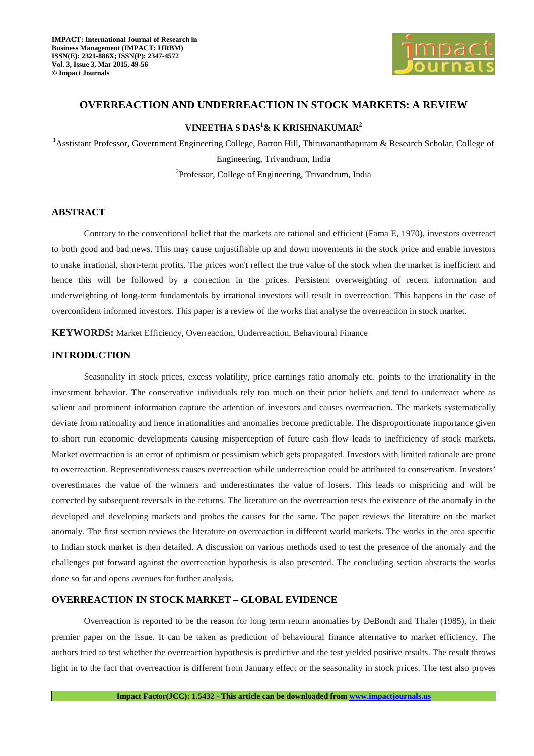

# **OVERREACTION AND UNDERREACTION IN STOCK MARKETS: A REVIEW**

# **VINEETHA S DAS<sup>1</sup>& K KRISHNAKUMAR<sup>2</sup>**

<sup>1</sup>Asstistant Professor, Government Engineering College, Barton Hill, Thiruvananthapuram & Research Scholar, College of Engineering, Trivandrum, India <sup>2</sup>Professor, College of Engineering, Trivandrum, India

# **ABSTRACT**

Contrary to the conventional belief that the markets are rational and efficient (Fama E, 1970), investors overreact to both good and bad news. This may cause unjustifiable up and down movements in the stock price and enable investors to make irrational, short-term profits. The prices won't reflect the true value of the stock when the market is inefficient and hence this will be followed by a correction in the prices. Persistent overweighting of recent information and underweighting of long-term fundamentals by irrational investors will result in overreaction. This happens in the case of overconfident informed investors. This paper is a review of the works that analyse the overreaction in stock market.

**KEYWORDS:** Market Efficiency, Overreaction, Underreaction, Behavioural Finance

# **INTRODUCTION**

Seasonality in stock prices, excess volatility, price earnings ratio anomaly etc. points to the irrationality in the investment behavior. The conservative individuals rely too much on their prior beliefs and tend to underreact where as salient and prominent information capture the attention of investors and causes overreaction. The markets systematically deviate from rationality and hence irrationalities and anomalies become predictable. The disproportionate importance given to short run economic developments causing misperception of future cash flow leads to inefficiency of stock markets. Market overreaction is an error of optimism or pessimism which gets propagated. Investors with limited rationale are prone to overreaction. Representativeness causes overreaction while underreaction could be attributed to conservatism. Investors' overestimates the value of the winners and underestimates the value of losers. This leads to mispricing and will be corrected by subsequent reversals in the returns. The literature on the overreaction tests the existence of the anomaly in the developed and developing markets and probes the causes for the same. The paper reviews the literature on the market anomaly. The first section reviews the literature on overreaction in different world markets. The works in the area specific to Indian stock market is then detailed. A discussion on various methods used to test the presence of the anomaly and the challenges put forward against the overreaction hypothesis is also presented. The concluding section abstracts the works done so far and opens avenues for further analysis.

## **OVERREACTION IN STOCK MARKET – GLOBAL EVIDENCE**

Overreaction is reported to be the reason for long term return anomalies by DeBondt and Thaler (1985), in their premier paper on the issue. It can be taken as prediction of behavioural finance alternative to market efficiency. The authors tried to test whether the overreaction hypothesis is predictive and the test yielded positive results. The result throws light in to the fact that overreaction is different from January effect or the seasonality in stock prices. The test also proves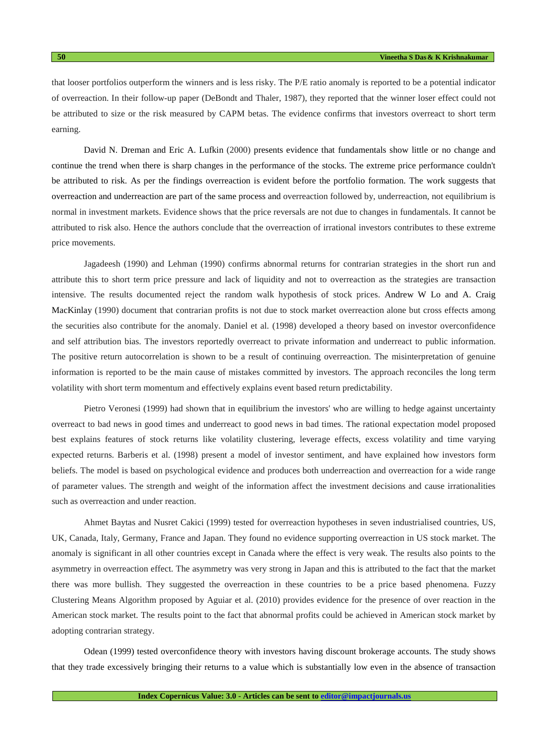that looser portfolios outperform the winners and is less risky. The P/E ratio anomaly is reported to be a potential indicator of overreaction. In their follow-up paper (DeBondt and Thaler, 1987), they reported that the winner loser effect could not be attributed to size or the risk measured by CAPM betas. The evidence confirms that investors overreact to short term earning.

David N. Dreman and Eric A. Lufkin (2000) presents evidence that fundamentals show little or no change and continue the trend when there is sharp changes in the performance of the stocks. The extreme price performance couldn't be attributed to risk. As per the findings overreaction is evident before the portfolio formation. The work suggests that overreaction and underreaction are part of the same process and overreaction followed by, underreaction, not equilibrium is normal in investment markets. Evidence shows that the price reversals are not due to changes in fundamentals. It cannot be attributed to risk also. Hence the authors conclude that the overreaction of irrational investors contributes to these extreme price movements.

Jagadeesh (1990) and Lehman (1990) confirms abnormal returns for contrarian strategies in the short run and attribute this to short term price pressure and lack of liquidity and not to overreaction as the strategies are transaction intensive. The results documented reject the random walk hypothesis of stock prices. Andrew W Lo and A. Craig MacKinlay (1990) document that contrarian profits is not due to stock market overreaction alone but cross effects among the securities also contribute for the anomaly. Daniel et al. (1998) developed a theory based on investor overconfidence and self attribution bias. The investors reportedly overreact to private information and underreact to public information. The positive return autocorrelation is shown to be a result of continuing overreaction. The misinterpretation of genuine information is reported to be the main cause of mistakes committed by investors. The approach reconciles the long term volatility with short term momentum and effectively explains event based return predictability.

Pietro Veronesi (1999) had shown that in equilibrium the investors' who are willing to hedge against uncertainty overreact to bad news in good times and underreact to good news in bad times. The rational expectation model proposed best explains features of stock returns like volatility clustering, leverage effects, excess volatility and time varying expected returns. Barberis et al. (1998) present a model of investor sentiment, and have explained how investors form beliefs. The model is based on psychological evidence and produces both underreaction and overreaction for a wide range of parameter values. The strength and weight of the information affect the investment decisions and cause irrationalities such as overreaction and under reaction.

Ahmet Baytas and Nusret Cakici (1999) tested for overreaction hypotheses in seven industrialised countries, US, UK, Canada, Italy, Germany, France and Japan. They found no evidence supporting overreaction in US stock market. The anomaly is significant in all other countries except in Canada where the effect is very weak. The results also points to the asymmetry in overreaction effect. The asymmetry was very strong in Japan and this is attributed to the fact that the market there was more bullish. They suggested the overreaction in these countries to be a price based phenomena. Fuzzy Clustering Means Algorithm proposed by Aguiar et al. (2010) provides evidence for the presence of over reaction in the American stock market. The results point to the fact that abnormal profits could be achieved in American stock market by adopting contrarian strategy.

Odean (1999) tested overconfidence theory with investors having discount brokerage accounts. The study shows that they trade excessively bringing their returns to a value which is substantially low even in the absence of transaction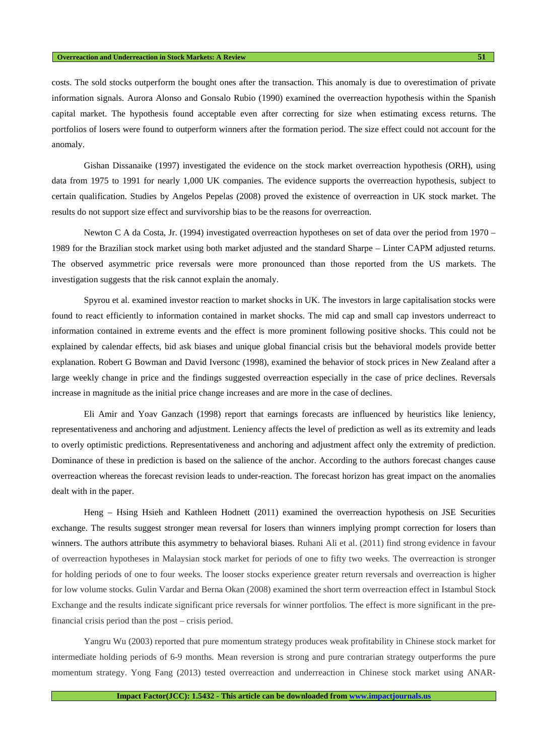costs. The sold stocks outperform the bought ones after the transaction. This anomaly is due to overestimation of private information signals. Aurora Alonso and Gonsalo Rubio (1990) examined the overreaction hypothesis within the Spanish capital market. The hypothesis found acceptable even after correcting for size when estimating excess returns. The portfolios of losers were found to outperform winners after the formation period. The size effect could not account for the anomaly.

Gishan Dissanaike (1997) investigated the evidence on the stock market overreaction hypothesis (ORH), using data from 1975 to 1991 for nearly 1,000 UK companies. The evidence supports the overreaction hypothesis, subject to certain qualification. Studies by Angelos Pepelas (2008) proved the existence of overreaction in UK stock market. The results do not support size effect and survivorship bias to be the reasons for overreaction.

Newton C A da Costa, Jr. (1994) investigated overreaction hypotheses on set of data over the period from 1970 – 1989 for the Brazilian stock market using both market adjusted and the standard Sharpe – Linter CAPM adjusted returns. The observed asymmetric price reversals were more pronounced than those reported from the US markets. The investigation suggests that the risk cannot explain the anomaly.

Spyrou et al. examined investor reaction to market shocks in UK. The investors in large capitalisation stocks were found to react efficiently to information contained in market shocks. The mid cap and small cap investors underreact to information contained in extreme events and the effect is more prominent following positive shocks. This could not be explained by calendar effects, bid ask biases and unique global financial crisis but the behavioral models provide better explanation. Robert G Bowman and David Iversonc (1998), examined the behavior of stock prices in New Zealand after a large weekly change in price and the findings suggested overreaction especially in the case of price declines. Reversals increase in magnitude as the initial price change increases and are more in the case of declines.

Eli Amir and Yoav Ganzach (1998) report that earnings forecasts are influenced by heuristics like leniency, representativeness and anchoring and adjustment. Leniency affects the level of prediction as well as its extremity and leads to overly optimistic predictions. Representativeness and anchoring and adjustment affect only the extremity of prediction. Dominance of these in prediction is based on the salience of the anchor. According to the authors forecast changes cause overreaction whereas the forecast revision leads to under-reaction. The forecast horizon has great impact on the anomalies dealt with in the paper.

Heng – Hsing Hsieh and Kathleen Hodnett (2011) examined the overreaction hypothesis on JSE Securities exchange. The results suggest stronger mean reversal for losers than winners implying prompt correction for losers than winners. The authors attribute this asymmetry to behavioral biases. Ruhani Ali et al. (2011) find strong evidence in favour of overreaction hypotheses in Malaysian stock market for periods of one to fifty two weeks. The overreaction is stronger for holding periods of one to four weeks. The looser stocks experience greater return reversals and overreaction is higher for low volume stocks. Gulin Vardar and Berna Okan (2008) examined the short term overreaction effect in Istambul Stock Exchange and the results indicate significant price reversals for winner portfolios. The effect is more significant in the prefinancial crisis period than the post – crisis period.

Yangru Wu (2003) reported that pure momentum strategy produces weak profitability in Chinese stock market for intermediate holding periods of 6-9 months. Mean reversion is strong and pure contrarian strategy outperforms the pure momentum strategy. Yong Fang (2013) tested overreaction and underreaction in Chinese stock market using ANAR-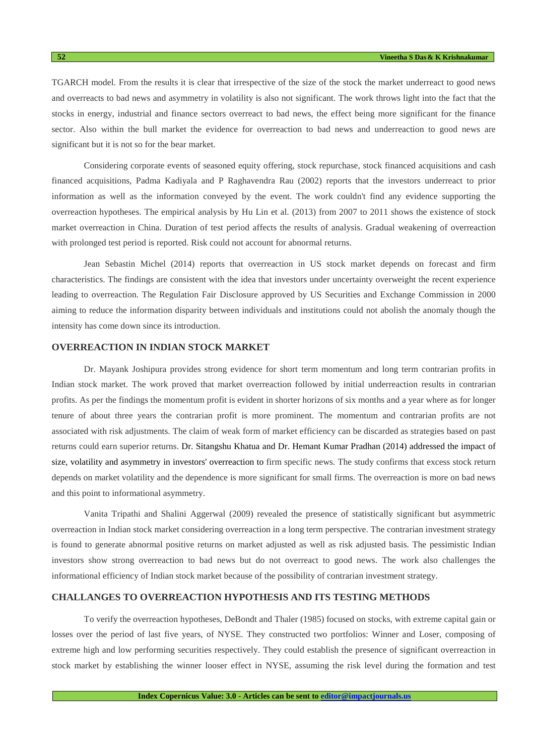TGARCH model. From the results it is clear that irrespective of the size of the stock the market underreact to good news and overreacts to bad news and asymmetry in volatility is also not significant. The work throws light into the fact that the stocks in energy, industrial and finance sectors overreact to bad news, the effect being more significant for the finance sector. Also within the bull market the evidence for overreaction to bad news and underreaction to good news are significant but it is not so for the bear market.

Considering corporate events of seasoned equity offering, stock repurchase, stock financed acquisitions and cash financed acquisitions, Padma Kadiyala and P Raghavendra Rau (2002) reports that the investors underreact to prior information as well as the information conveyed by the event. The work couldn't find any evidence supporting the overreaction hypotheses. The empirical analysis by Hu Lin et al. (2013) from 2007 to 2011 shows the existence of stock market overreaction in China. Duration of test period affects the results of analysis. Gradual weakening of overreaction with prolonged test period is reported. Risk could not account for abnormal returns.

Jean Sebastin Michel (2014) reports that overreaction in US stock market depends on forecast and firm characteristics. The findings are consistent with the idea that investors under uncertainty overweight the recent experience leading to overreaction. The Regulation Fair Disclosure approved by US Securities and Exchange Commission in 2000 aiming to reduce the information disparity between individuals and institutions could not abolish the anomaly though the intensity has come down since its introduction.

### **OVERREACTION IN INDIAN STOCK MARKET**

Dr. Mayank Joshipura provides strong evidence for short term momentum and long term contrarian profits in Indian stock market. The work proved that market overreaction followed by initial underreaction results in contrarian profits. As per the findings the momentum profit is evident in shorter horizons of six months and a year where as for longer tenure of about three years the contrarian profit is more prominent. The momentum and contrarian profits are not associated with risk adjustments. The claim of weak form of market efficiency can be discarded as strategies based on past returns could earn superior returns. Dr. Sitangshu Khatua and Dr. Hemant Kumar Pradhan (2014) addressed the impact of size, volatility and asymmetry in investors' overreaction to firm specific news. The study confirms that excess stock return depends on market volatility and the dependence is more significant for small firms. The overreaction is more on bad news and this point to informational asymmetry.

Vanita Tripathi and Shalini Aggerwal (2009) revealed the presence of statistically significant but asymmetric overreaction in Indian stock market considering overreaction in a long term perspective. The contrarian investment strategy is found to generate abnormal positive returns on market adjusted as well as risk adjusted basis. The pessimistic Indian investors show strong overreaction to bad news but do not overreact to good news. The work also challenges the informational efficiency of Indian stock market because of the possibility of contrarian investment strategy.

## **CHALLANGES TO OVERREACTION HYPOTHESIS AND ITS TESTING METHODS**

To verify the overreaction hypotheses, DeBondt and Thaler (1985) focused on stocks, with extreme capital gain or losses over the period of last five years, of NYSE. They constructed two portfolios: Winner and Loser, composing of extreme high and low performing securities respectively. They could establish the presence of significant overreaction in stock market by establishing the winner looser effect in NYSE, assuming the risk level during the formation and test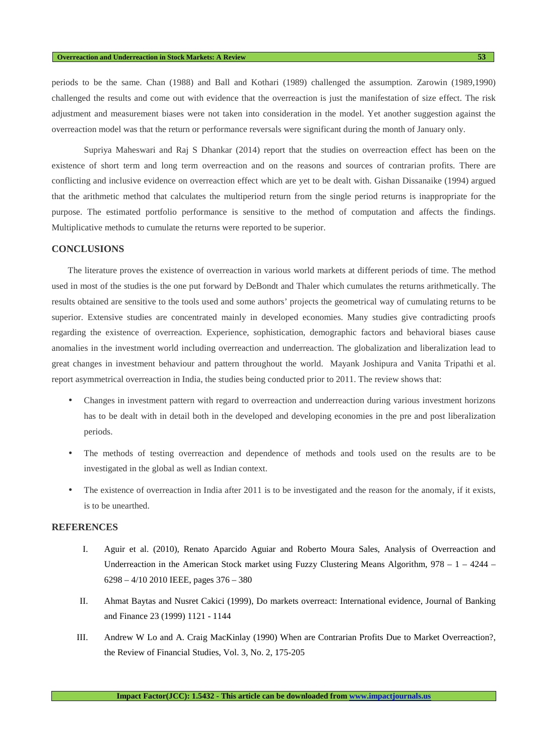periods to be the same. Chan (1988) and Ball and Kothari (1989) challenged the assumption. Zarowin (1989,1990) challenged the results and come out with evidence that the overreaction is just the manifestation of size effect. The risk adjustment and measurement biases were not taken into consideration in the model. Yet another suggestion against the overreaction model was that the return or performance reversals were significant during the month of January only.

Supriya Maheswari and Raj S Dhankar (2014) report that the studies on overreaction effect has been on the existence of short term and long term overreaction and on the reasons and sources of contrarian profits. There are conflicting and inclusive evidence on overreaction effect which are yet to be dealt with. Gishan Dissanaike (1994) argued that the arithmetic method that calculates the multiperiod return from the single period returns is inappropriate for the purpose. The estimated portfolio performance is sensitive to the method of computation and affects the findings. Multiplicative methods to cumulate the returns were reported to be superior.

#### **CONCLUSIONS**

The literature proves the existence of overreaction in various world markets at different periods of time. The method used in most of the studies is the one put forward by DeBondt and Thaler which cumulates the returns arithmetically. The results obtained are sensitive to the tools used and some authors' projects the geometrical way of cumulating returns to be superior. Extensive studies are concentrated mainly in developed economies. Many studies give contradicting proofs regarding the existence of overreaction. Experience, sophistication, demographic factors and behavioral biases cause anomalies in the investment world including overreaction and underreaction. The globalization and liberalization lead to great changes in investment behaviour and pattern throughout the world. Mayank Joshipura and Vanita Tripathi et al. report asymmetrical overreaction in India, the studies being conducted prior to 2011. The review shows that:

- Changes in investment pattern with regard to overreaction and underreaction during various investment horizons has to be dealt with in detail both in the developed and developing economies in the pre and post liberalization periods.
- The methods of testing overreaction and dependence of methods and tools used on the results are to be investigated in the global as well as Indian context.
- The existence of overreaction in India after 2011 is to be investigated and the reason for the anomaly, if it exists, is to be unearthed.

# **REFERENCES**

- I. Aguir et al. (2010), Renato Aparcido Aguiar and Roberto Moura Sales, Analysis of Overreaction and Underreaction in the American Stock market using Fuzzy Clustering Means Algorithm,  $978 - 1 - 4244 -$ 6298 – 4/10 2010 IEEE, pages 376 – 380
- II. Ahmat Baytas and Nusret Cakici (1999), Do markets overreact: International evidence, Journal of Banking and Finance 23 (1999) 1121 - 1144
- III. Andrew W Lo and A. Craig MacKinlay (1990) When are Contrarian Profits Due to Market Overreaction?, the Review of Financial Studies, Vol. 3, No. 2, 175-205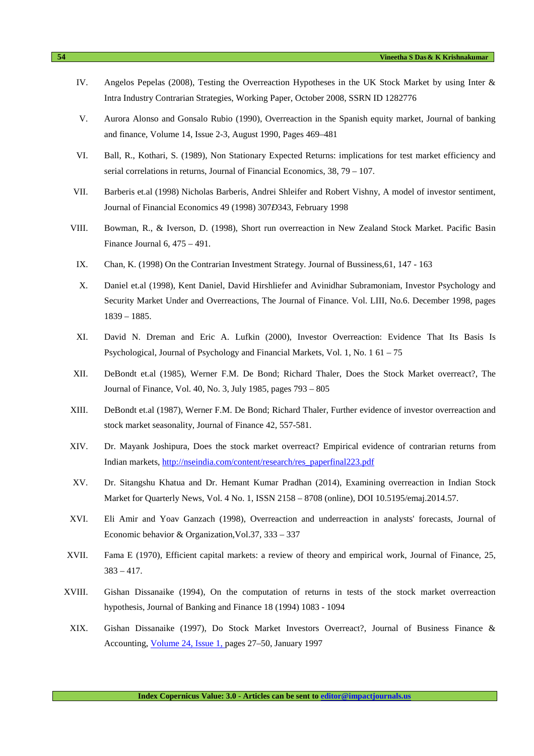- IV. Angelos Pepelas (2008), Testing the Overreaction Hypotheses in the UK Stock Market by using Inter & Intra Industry Contrarian Strategies, Working Paper, October 2008, SSRN ID 1282776
- V. Aurora Alonso and Gonsalo Rubio (1990), Overreaction in the Spanish equity market, Journal of banking and finance, Volume 14, Issue 2-3, August 1990, Pages 469–481
- VI. Ball, R., Kothari, S. (1989), Non Stationary Expected Returns: implications for test market efficiency and serial correlations in returns, Journal of Financial Economics, 38, 79 – 107.
- VII. Barberis et.al (1998) Nicholas Barberis, Andrei Shleifer and Robert Vishny, A model of investor sentiment, Journal of Financial Economics 49 (1998) 307*Ð*343, February 1998
- VIII. Bowman, R., & Iverson, D. (1998), Short run overreaction in New Zealand Stock Market. Pacific Basin Finance Journal 6, 475 – 491.
- IX. Chan, K. (1998) On the Contrarian Investment Strategy. Journal of Bussiness,61, 147 163
- X. Daniel et.al (1998), Kent Daniel, David Hirshliefer and Avinidhar Subramoniam, Investor Psychology and Security Market Under and Overreactions, The Journal of Finance. Vol. LIII, No.6. December 1998, pages 1839 – 1885.
- XI. David N. Dreman and Eric A. Lufkin (2000), Investor Overreaction: Evidence That Its Basis Is Psychological, Journal of Psychology and Financial Markets, Vol. 1, No. 1 61 – 75
- XII. DeBondt et.al (1985), Werner F.M. De Bond; Richard Thaler, Does the Stock Market overreact?, The Journal of Finance, Vol. 40, No. 3, July 1985, pages 793 – 805
- XIII. DeBondt et.al (1987), Werner F.M. De Bond; Richard Thaler, Further evidence of investor overreaction and stock market seasonality, Journal of Finance 42, 557-581.
- XIV. Dr. Mayank Joshipura, Does the stock market overreact? Empirical evidence of contrarian returns from Indian markets, http://nseindia.com/content/research/res\_paperfinal223.pdf
- XV. Dr. Sitangshu Khatua and Dr. Hemant Kumar Pradhan (2014), Examining overreaction in Indian Stock Market for Quarterly News, Vol. 4 No. 1, ISSN 2158 – 8708 (online), DOI 10.5195/emaj.2014.57.
- XVI. Eli Amir and Yoav Ganzach (1998), Overreaction and underreaction in analysts' forecasts, Journal of Economic behavior & Organization, Vol. 37, 333 – 337
- XVII. Fama E (1970), Efficient capital markets: a review of theory and empirical work, Journal of Finance, 25,  $383 - 417$ .
- XVIII. Gishan Dissanaike (1994), On the computation of returns in tests of the stock market overreaction hypothesis, Journal of Banking and Finance 18 (1994) 1083 - 1094
- XIX. Gishan Dissanaike (1997), Do Stock Market Investors Overreact?, Journal of Business Finance & Accounting, Volume 24, Issue 1, pages 27–50, January 1997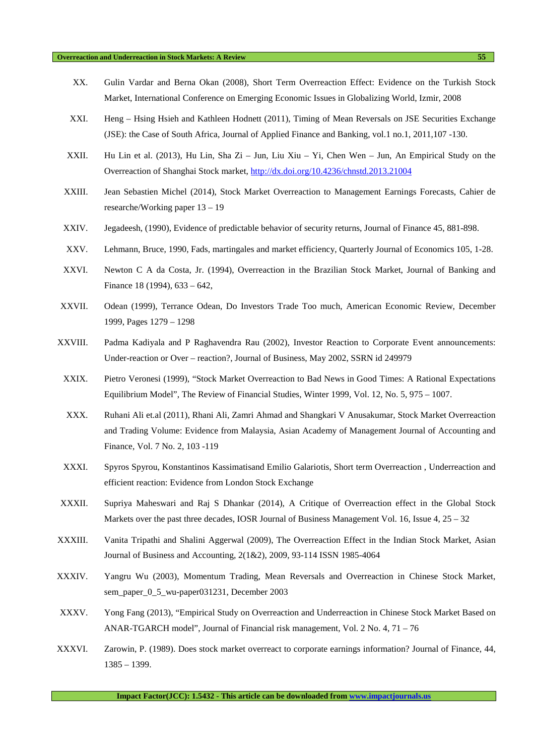#### **Overreaction and Underreaction in Stock Markets: A Review 55**

- XX. Gulin Vardar and Berna Okan (2008), Short Term Overreaction Effect: Evidence on the Turkish Stock Market, International Conference on Emerging Economic Issues in Globalizing World, Izmir, 2008
- XXI. Heng Hsing Hsieh and Kathleen Hodnett (2011), Timing of Mean Reversals on JSE Securities Exchange (JSE): the Case of South Africa, Journal of Applied Finance and Banking, vol.1 no.1, 2011,107 -130.
- XXII. Hu Lin et al. (2013), Hu Lin, Sha Zi Jun, Liu Xiu Yi, Chen Wen Jun, An Empirical Study on the Overreaction of Shanghai Stock market, http://dx.doi.org/10.4236/chnstd.2013.21004
- XXIII. Jean Sebastien Michel (2014), Stock Market Overreaction to Management Earnings Forecasts, Cahier de researche/Working paper 13 – 19
- XXIV. Jegadeesh, (1990), Evidence of predictable behavior of security returns, Journal of Finance 45, 881-898.
- XXV. Lehmann, Bruce, 1990, Fads, martingales and market efficiency, Quarterly Journal of Economics 105, 1-28.
- XXVI. Newton C A da Costa, Jr. (1994), Overreaction in the Brazilian Stock Market, Journal of Banking and Finance 18 (1994), 633 – 642,
- XXVII. Odean (1999), Terrance Odean, Do Investors Trade Too much, American Economic Review, December 1999, Pages 1279 – 1298
- XXVIII. Padma Kadiyala and P Raghavendra Rau (2002), Investor Reaction to Corporate Event announcements: Under-reaction or Over – reaction?, Journal of Business, May 2002, SSRN id 249979
- XXIX. Pietro Veronesi (1999), "Stock Market Overreaction to Bad News in Good Times: A Rational Expectations Equilibrium Model", The Review of Financial Studies, Winter 1999, Vol. 12, No. 5, 975 – 1007.
- XXX. Ruhani Ali et.al (2011), Rhani Ali, Zamri Ahmad and Shangkari V Anusakumar, Stock Market Overreaction and Trading Volume: Evidence from Malaysia, Asian Academy of Management Journal of Accounting and Finance, Vol. 7 No. 2, 103 -119
- XXXI. Spyros Spyrou, Konstantinos Kassimatisand Emilio Galariotis, Short term Overreaction , Underreaction and efficient reaction: Evidence from London Stock Exchange
- XXXII. Supriya Maheswari and Raj S Dhankar (2014), A Critique of Overreaction effect in the Global Stock Markets over the past three decades, IOSR Journal of Business Management Vol. 16, Issue  $4, 25 - 32$
- XXXIII. Vanita Tripathi and Shalini Aggerwal (2009), The Overreaction Effect in the Indian Stock Market, Asian Journal of Business and Accounting, 2(1&2), 2009, 93-114 ISSN 1985-4064
- XXXIV. Yangru Wu (2003), Momentum Trading, Mean Reversals and Overreaction in Chinese Stock Market, sem\_paper\_0\_5\_wu-paper031231, December 2003
- XXXV. Yong Fang (2013), "Empirical Study on Overreaction and Underreaction in Chinese Stock Market Based on ANAR-TGARCH model", Journal of Financial risk management, Vol. 2 No. 4, 71 – 76
- XXXVI. Zarowin, P. (1989). Does stock market overreact to corporate earnings information? Journal of Finance, 44, 1385 – 1399.